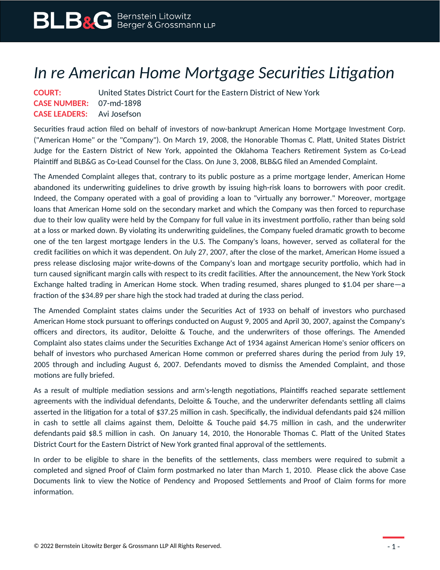## *In re American Home Mortgage Securities Litigation*

| <b>COURT:</b>                     | United States District Court for the Eastern District of New York |
|-----------------------------------|-------------------------------------------------------------------|
| <b>CASE NUMBER: 07-md-1898</b>    |                                                                   |
| <b>CASE LEADERS:</b> Avi Josefson |                                                                   |

Securities fraud action filed on behalf of investors of now-bankrupt American Home Mortgage Investment Corp. ("American Home" or the "Company"). On March 19, 2008, the Honorable Thomas C. Platt, United States District Judge for the Eastern District of New York, appointed the Oklahoma Teachers Retirement System as Co-Lead Plaintiff and BLB&G as Co-Lead Counsel for the Class. On June 3, 2008, BLB&G filed an Amended Complaint.

The Amended Complaint alleges that, contrary to its public posture as a prime mortgage lender, American Home abandoned its underwriting guidelines to drive growth by issuing high-risk loans to borrowers with poor credit. Indeed, the Company operated with a goal of providing a loan to "virtually any borrower." Moreover, mortgage loans that American Home sold on the secondary market and which the Company was then forced to repurchase due to their low quality were held by the Company for full value in its investment portfolio, rather than being sold at a loss or marked down. By violating its underwriting guidelines, the Company fueled dramatic growth to become one of the ten largest mortgage lenders in the U.S. The Company's loans, however, served as collateral for the credit facilities on which it was dependent. On July 27, 2007, after the close of the market, American Home issued a press release disclosing major write-downs of the Company's loan and mortgage security portfolio, which had in turn caused significant margin calls with respect to its credit facilities. After the announcement, the New York Stock Exchange halted trading in American Home stock. When trading resumed, shares plunged to \$1.04 per share—a fraction of the \$34.89 per share high the stock had traded at during the class period.

The Amended Complaint states claims under the Securities Act of 1933 on behalf of investors who purchased American Home stock pursuant to offerings conducted on August 9, 2005 and April 30, 2007, against the Company's officers and directors, its auditor, Deloitte & Touche, and the underwriters of those offerings. The Amended Complaint also states claims under the Securities Exchange Act of 1934 against American Home's senior officers on behalf of investors who purchased American Home common or preferred shares during the period from July 19, 2005 through and including August 6, 2007. Defendants moved to dismiss the Amended Complaint, and those motions are fully briefed.

As a result of multiple mediation sessions and arm's-length negotiations, Plaintiffs reached separate settlement agreements with the individual defendants, Deloitte & Touche, and the underwriter defendants settling all claims asserted in the litigation for a total of \$37.25 million in cash. Specifically, the individual defendants paid \$24 million in cash to settle all claims against them, Deloitte & Touche paid \$4.75 million in cash, and the underwriter defendants paid \$8.5 million in cash. On January 14, 2010, the Honorable Thomas C. Platt of the United States District Court for the Eastern District of New York granted final approval of the settlements.

In order to be eligible to share in the benefits of the settlements, class members were required to submit a completed and signed Proof of Claim form postmarked no later than March 1, 2010. Please click the above Case Documents link to view the Notice of Pendency and Proposed Settlements and Proof of Claim forms for more information.